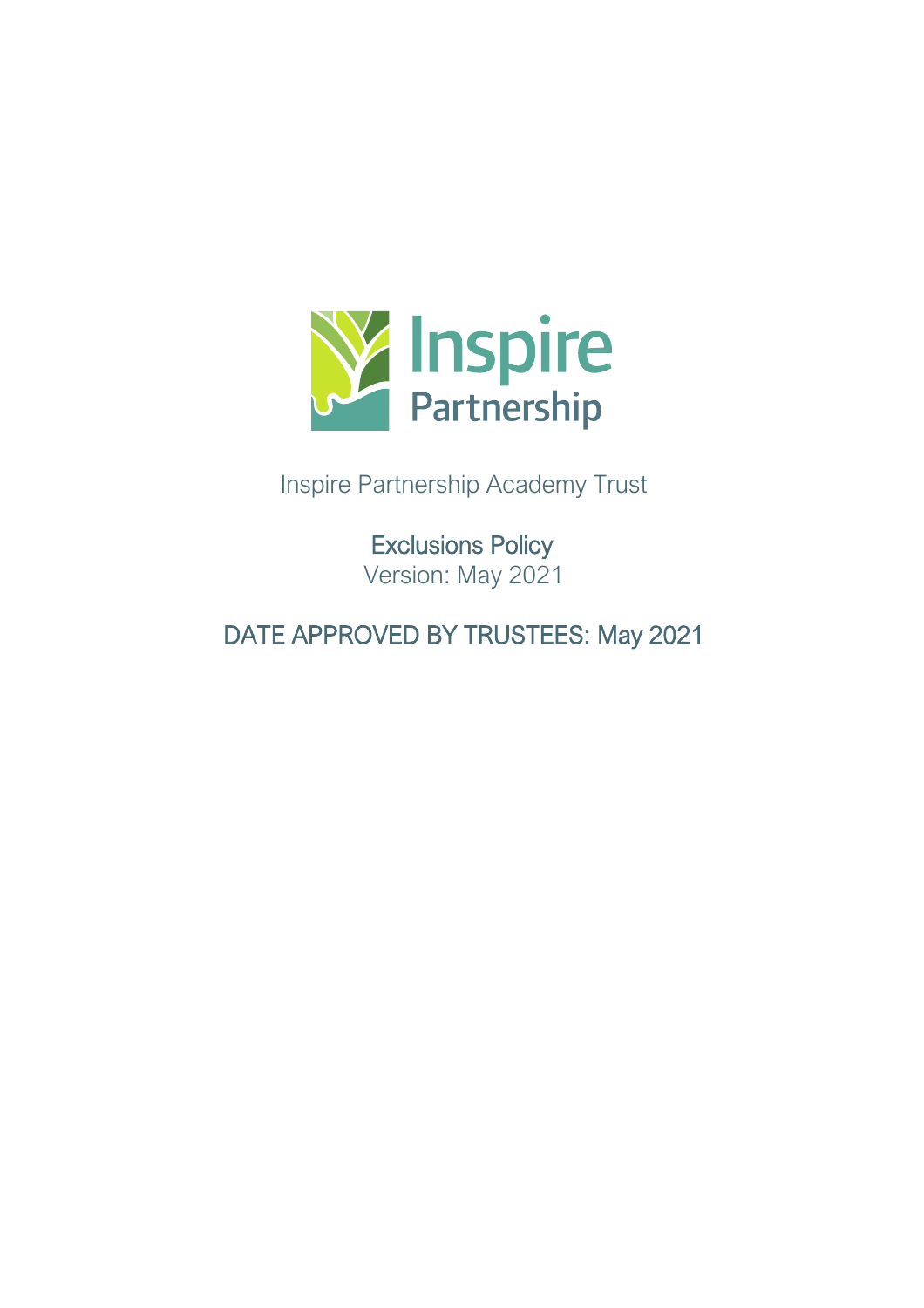

Inspire Partnership Academy Trust

Exclusions Policy Version: May 2021

DATE APPROVED BY TRUSTEES: May 2021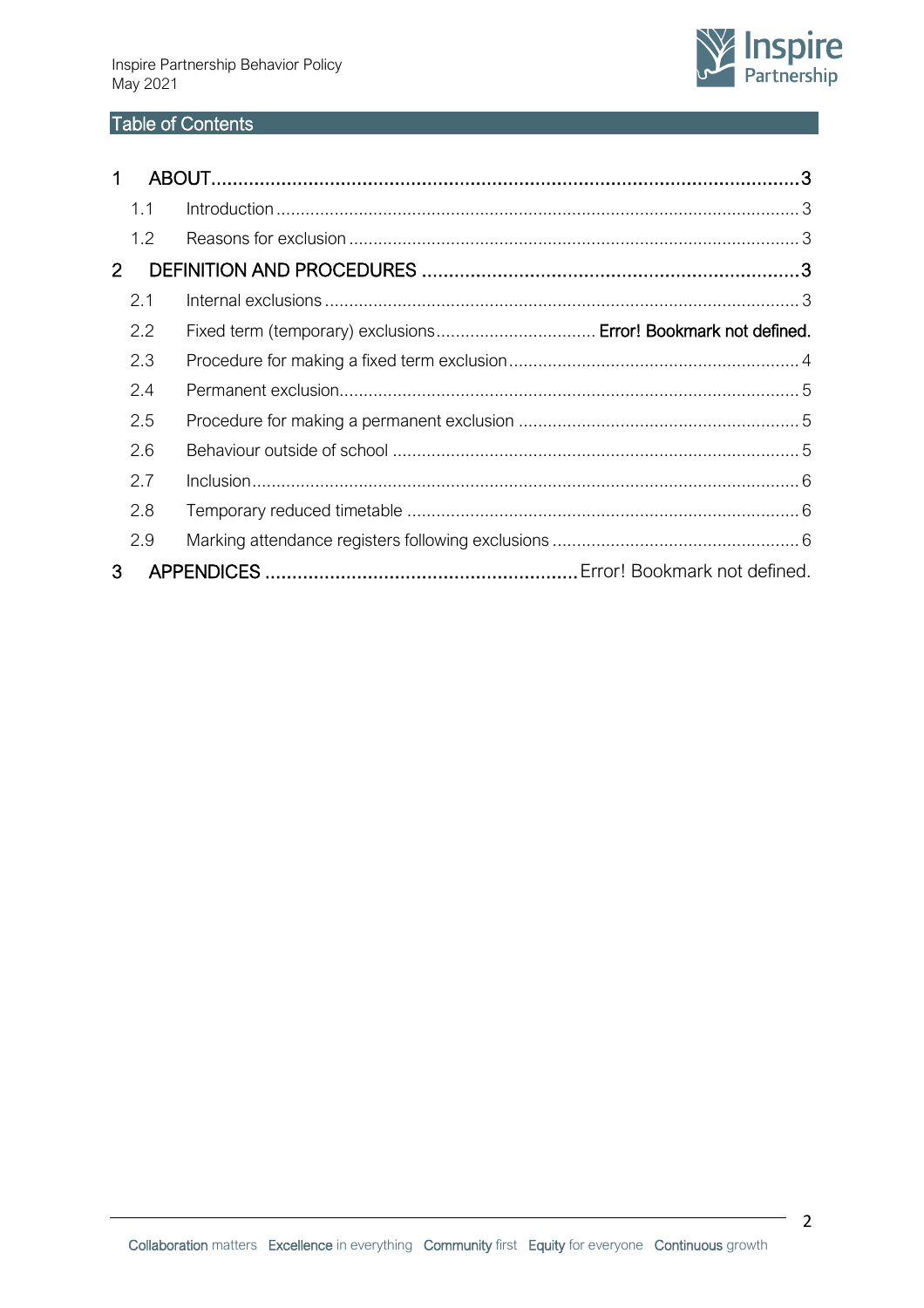

# Table of Contents

| $\mathbf 1$    |                                                                |  |
|----------------|----------------------------------------------------------------|--|
| 1.1            |                                                                |  |
| 1.2            |                                                                |  |
| $\overline{2}$ |                                                                |  |
| 2.1            |                                                                |  |
| 2.2            | Fixed term (temporary) exclusions Error! Bookmark not defined. |  |
| 2.3            |                                                                |  |
| 2.4            |                                                                |  |
| 2.5            |                                                                |  |
| 2.6            |                                                                |  |
| 2.7            |                                                                |  |
| 2.8            |                                                                |  |
| 2.9            |                                                                |  |
| 3              |                                                                |  |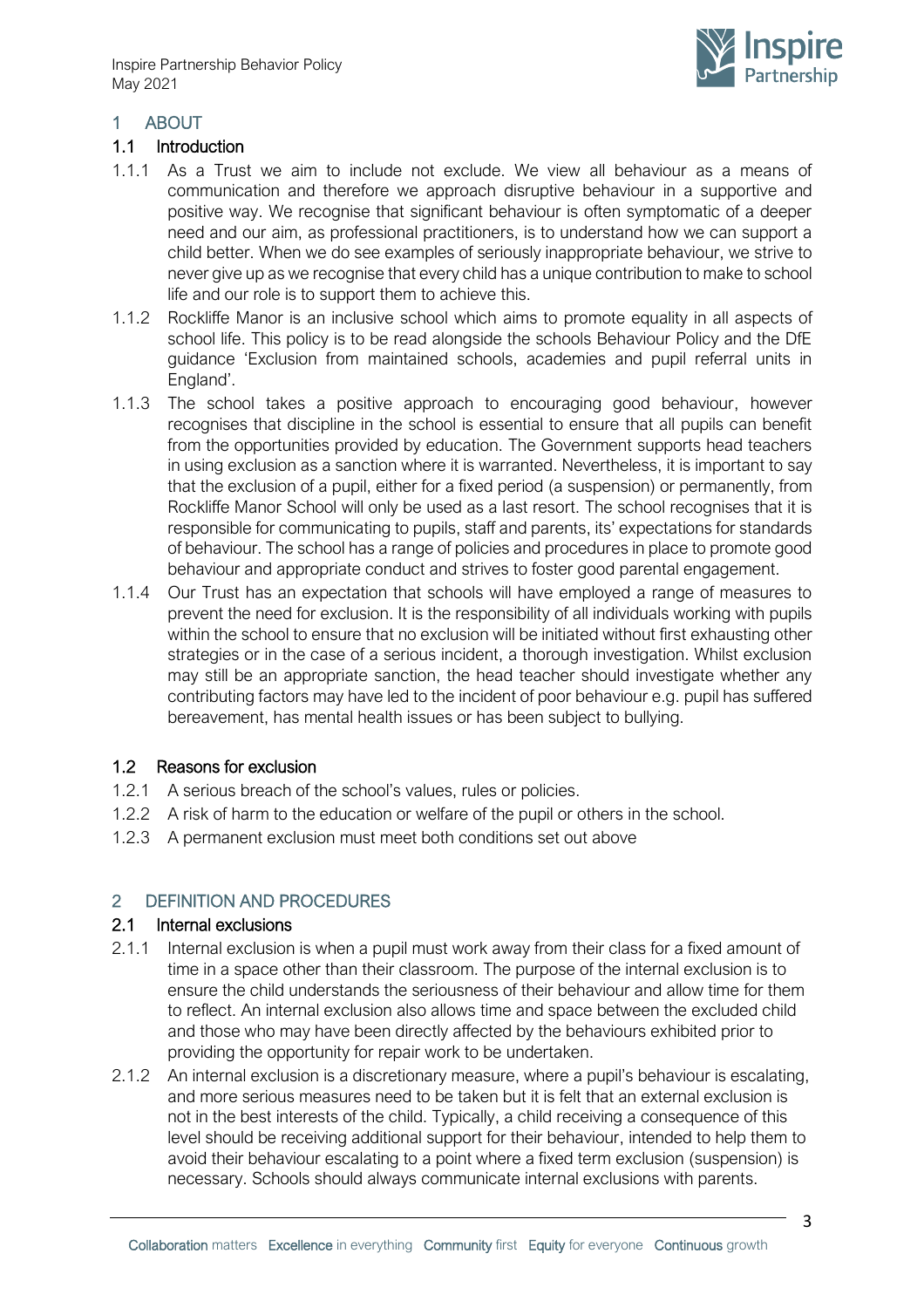

## <span id="page-2-0"></span>1 ABOUT

### <span id="page-2-1"></span>1.1 Introduction

- 1.1.1 As a Trust we aim to include not exclude. We view all behaviour as a means of communication and therefore we approach disruptive behaviour in a supportive and positive way. We recognise that significant behaviour is often symptomatic of a deeper need and our aim, as professional practitioners, is to understand how we can support a child better. When we do see examples of seriously inappropriate behaviour, we strive to never give up as we recognise that every child has a unique contribution to make to school life and our role is to support them to achieve this.
- 1.1.2 Rockliffe Manor is an inclusive school which aims to promote equality in all aspects of school life. This policy is to be read alongside the schools Behaviour Policy and the DfE guidance 'Exclusion from maintained schools, academies and pupil referral units in England'.
- 1.1.3 The school takes a positive approach to encouraging good behaviour, however recognises that discipline in the school is essential to ensure that all pupils can benefit from the opportunities provided by education. The Government supports head teachers in using exclusion as a sanction where it is warranted. Nevertheless, it is important to say that the exclusion of a pupil, either for a fixed period (a suspension) or permanently, from Rockliffe Manor School will only be used as a last resort. The school recognises that it is responsible for communicating to pupils, staff and parents, its' expectations for standards of behaviour. The school has a range of policies and procedures in place to promote good behaviour and appropriate conduct and strives to foster good parental engagement.
- 1.1.4 Our Trust has an expectation that schools will have employed a range of measures to prevent the need for exclusion. It is the responsibility of all individuals working with pupils within the school to ensure that no exclusion will be initiated without first exhausting other strategies or in the case of a serious incident, a thorough investigation. Whilst exclusion may still be an appropriate sanction, the head teacher should investigate whether any contributing factors may have led to the incident of poor behaviour e.g. pupil has suffered bereavement, has mental health issues or has been subject to bullying.

### <span id="page-2-2"></span>1.2 Reasons for exclusion

- 1.2.1 A serious breach of the school's values, rules or policies.
- 1.2.2 A risk of harm to the education or welfare of the pupil or others in the school.
- 1.2.3 A permanent exclusion must meet both conditions set out above

### <span id="page-2-3"></span>2 DEFINITION AND PROCEDURES

#### <span id="page-2-4"></span>2.1 Internal exclusions

- 2.1.1 Internal exclusion is when a pupil must work away from their class for a fixed amount of time in a space other than their classroom. The purpose of the internal exclusion is to ensure the child understands the seriousness of their behaviour and allow time for them to reflect. An internal exclusion also allows time and space between the excluded child and those who may have been directly affected by the behaviours exhibited prior to providing the opportunity for repair work to be undertaken.
- 2.1.2 An internal exclusion is a discretionary measure, where a pupil's behaviour is escalating, and more serious measures need to be taken but it is felt that an external exclusion is not in the best interests of the child. Typically, a child receiving a consequence of this level should be receiving additional support for their behaviour, intended to help them to avoid their behaviour escalating to a point where a fixed term exclusion (suspension) is necessary. Schools should always communicate internal exclusions with parents.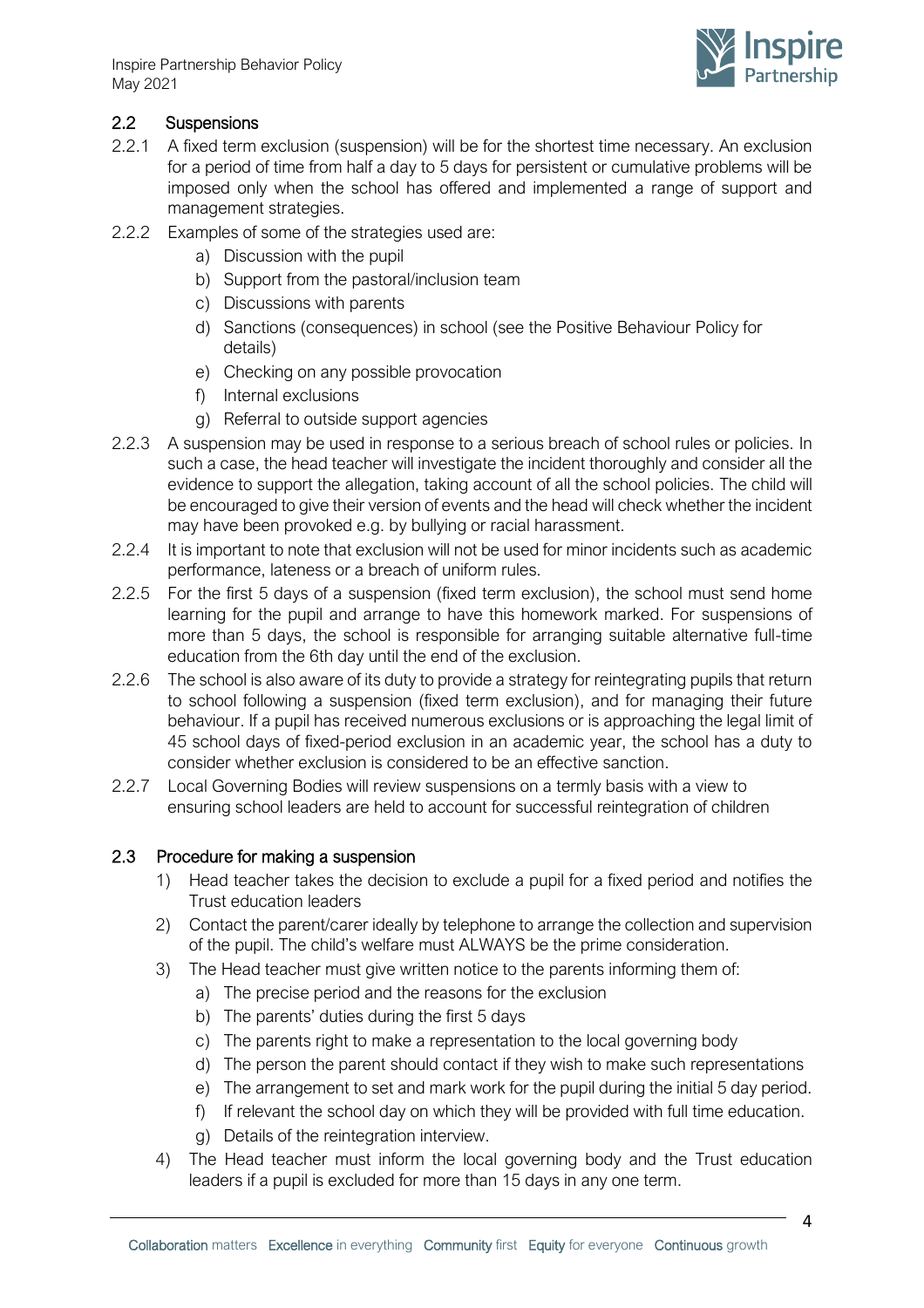Inspire Partnership Behavior Policy May 2021



## 2.2 Suspensions

- 2.2.1 A fixed term exclusion (suspension) will be for the shortest time necessary. An exclusion for a period of time from half a day to 5 days for persistent or cumulative problems will be imposed only when the school has offered and implemented a range of support and management strategies.
- 2.2.2 Examples of some of the strategies used are:
	- a) Discussion with the pupil
	- b) Support from the pastoral/inclusion team
	- c) Discussions with parents
	- d) Sanctions (consequences) in school (see the Positive Behaviour Policy for details)
	- e) Checking on any possible provocation
	- f) Internal exclusions
	- g) Referral to outside support agencies
- 2.2.3 A suspension may be used in response to a serious breach of school rules or policies. In such a case, the head teacher will investigate the incident thoroughly and consider all the evidence to support the allegation, taking account of all the school policies. The child will be encouraged to give their version of events and the head will check whether the incident may have been provoked e.g. by bullying or racial harassment.
- 2.2.4 It is important to note that exclusion will not be used for minor incidents such as academic performance, lateness or a breach of uniform rules.
- 2.2.5 For the first 5 days of a suspension (fixed term exclusion), the school must send home learning for the pupil and arrange to have this homework marked. For suspensions of more than 5 days, the school is responsible for arranging suitable alternative full-time education from the 6th day until the end of the exclusion.
- 2.2.6 The school is also aware of its duty to provide a strategy for reintegrating pupils that return to school following a suspension (fixed term exclusion), and for managing their future behaviour. If a pupil has received numerous exclusions or is approaching the legal limit of 45 school days of fixed-period exclusion in an academic year, the school has a duty to consider whether exclusion is considered to be an effective sanction.
- 2.2.7 Local Governing Bodies will review suspensions on a termly basis with a view to ensuring school leaders are held to account for successful reintegration of children

### <span id="page-3-0"></span>2.3 Procedure for making a suspension

- 1) Head teacher takes the decision to exclude a pupil for a fixed period and notifies the Trust education leaders
- 2) Contact the parent/carer ideally by telephone to arrange the collection and supervision of the pupil. The child's welfare must ALWAYS be the prime consideration.
- 3) The Head teacher must give written notice to the parents informing them of:
	- a) The precise period and the reasons for the exclusion
	- b) The parents' duties during the first 5 days
	- c) The parents right to make a representation to the local governing body
	- d) The person the parent should contact if they wish to make such representations
	- e) The arrangement to set and mark work for the pupil during the initial 5 day period.
	- f) If relevant the school day on which they will be provided with full time education.
	- g) Details of the reintegration interview.
- 4) The Head teacher must inform the local governing body and the Trust education leaders if a pupil is excluded for more than 15 days in any one term.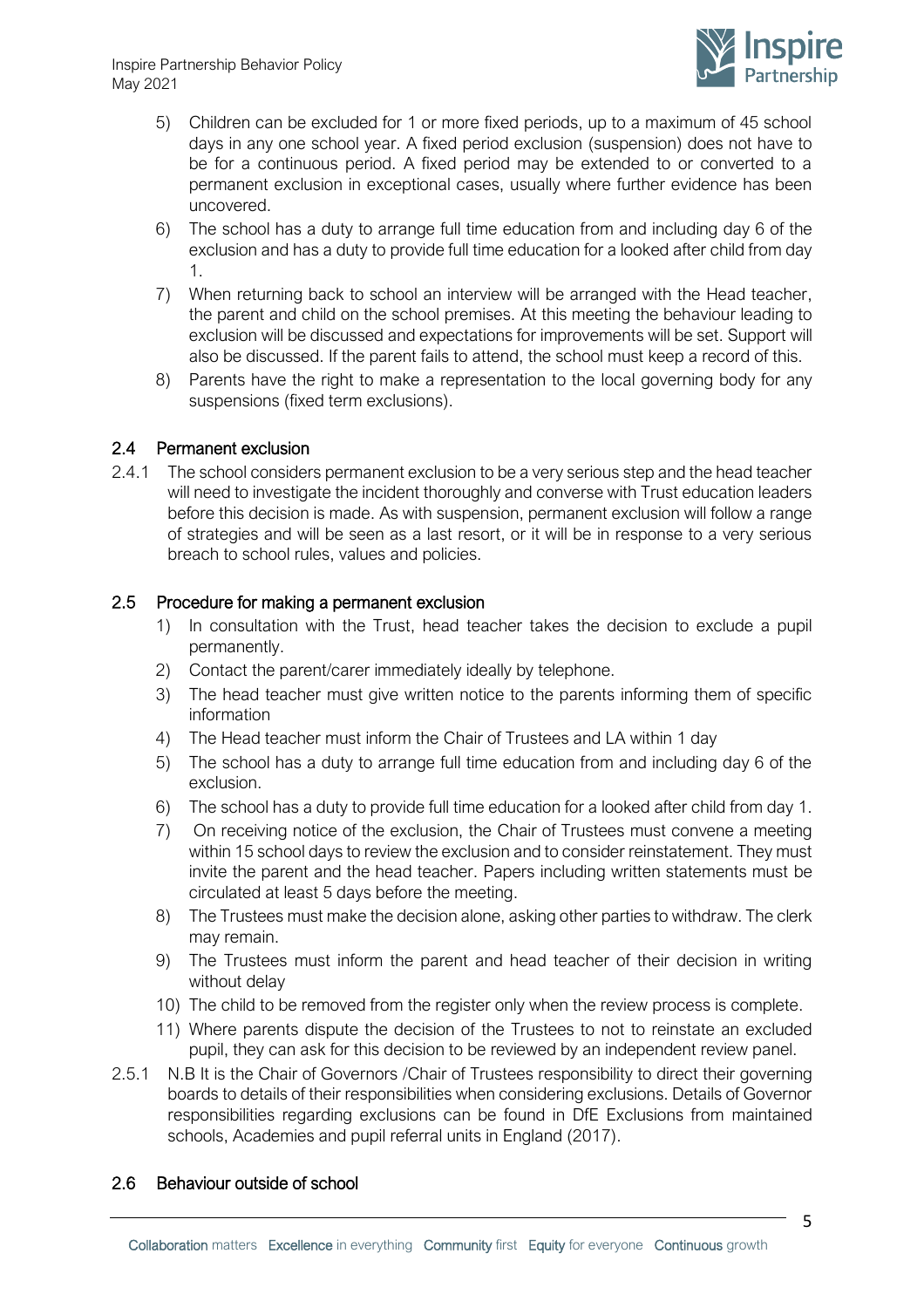

- 5) Children can be excluded for 1 or more fixed periods, up to a maximum of 45 school days in any one school year. A fixed period exclusion (suspension) does not have to be for a continuous period. A fixed period may be extended to or converted to a permanent exclusion in exceptional cases, usually where further evidence has been uncovered.
- 6) The school has a duty to arrange full time education from and including day 6 of the exclusion and has a duty to provide full time education for a looked after child from day 1.
- 7) When returning back to school an interview will be arranged with the Head teacher, the parent and child on the school premises. At this meeting the behaviour leading to exclusion will be discussed and expectations for improvements will be set. Support will also be discussed. If the parent fails to attend, the school must keep a record of this.
- 8) Parents have the right to make a representation to the local governing body for any suspensions (fixed term exclusions).

### <span id="page-4-0"></span>2.4 Permanent exclusion

2.4.1 The school considers permanent exclusion to be a very serious step and the head teacher will need to investigate the incident thoroughly and converse with Trust education leaders before this decision is made. As with suspension, permanent exclusion will follow a range of strategies and will be seen as a last resort, or it will be in response to a very serious breach to school rules, values and policies.

#### <span id="page-4-1"></span>2.5 Procedure for making a permanent exclusion

- 1) In consultation with the Trust, head teacher takes the decision to exclude a pupil permanently.
- 2) Contact the parent/carer immediately ideally by telephone.
- 3) The head teacher must give written notice to the parents informing them of specific information
- 4) The Head teacher must inform the Chair of Trustees and LA within 1 day
- 5) The school has a duty to arrange full time education from and including day 6 of the exclusion.
- 6) The school has a duty to provide full time education for a looked after child from day 1.
- 7) On receiving notice of the exclusion, the Chair of Trustees must convene a meeting within 15 school days to review the exclusion and to consider reinstatement. They must invite the parent and the head teacher. Papers including written statements must be circulated at least 5 days before the meeting.
- 8) The Trustees must make the decision alone, asking other parties to withdraw. The clerk may remain.
- 9) The Trustees must inform the parent and head teacher of their decision in writing without delay
- 10) The child to be removed from the register only when the review process is complete.
- 11) Where parents dispute the decision of the Trustees to not to reinstate an excluded pupil, they can ask for this decision to be reviewed by an independent review panel.
- 2.5.1 N.B It is the Chair of Governors / Chair of Trustees responsibility to direct their governing boards to details of their responsibilities when considering exclusions. Details of Governor responsibilities regarding exclusions can be found in DfE Exclusions from maintained schools, Academies and pupil referral units in England (2017).

### <span id="page-4-2"></span>2.6 Behaviour outside of school